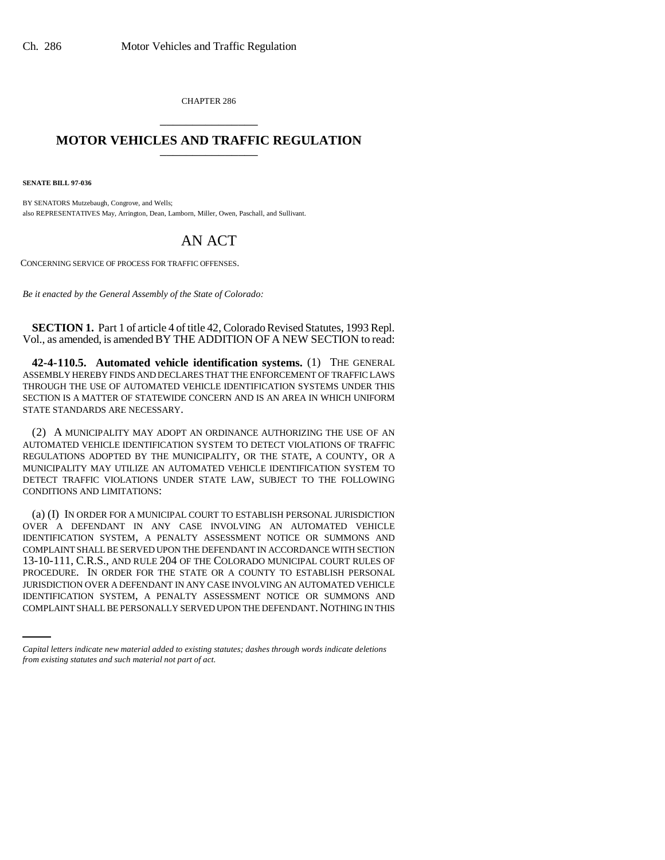CHAPTER 286 \_\_\_\_\_\_\_\_\_\_\_\_\_\_\_

## **MOTOR VEHICLES AND TRAFFIC REGULATION**

**SENATE BILL 97-036**

BY SENATORS Mutzebaugh, Congrove, and Wells; also REPRESENTATIVES May, Arrington, Dean, Lamborn, Miller, Owen, Paschall, and Sullivant.

## AN ACT

CONCERNING SERVICE OF PROCESS FOR TRAFFIC OFFENSES.

*Be it enacted by the General Assembly of the State of Colorado:*

**SECTION 1.** Part 1 of article 4 of title 42, Colorado Revised Statutes, 1993 Repl. Vol., as amended, is amended BY THE ADDITION OF A NEW SECTION to read:

**42-4-110.5. Automated vehicle identification systems.** (1) THE GENERAL ASSEMBLY HEREBY FINDS AND DECLARES THAT THE ENFORCEMENT OF TRAFFIC LAWS THROUGH THE USE OF AUTOMATED VEHICLE IDENTIFICATION SYSTEMS UNDER THIS SECTION IS A MATTER OF STATEWIDE CONCERN AND IS AN AREA IN WHICH UNIFORM STATE STANDARDS ARE NECESSARY.

(2) A MUNICIPALITY MAY ADOPT AN ORDINANCE AUTHORIZING THE USE OF AN AUTOMATED VEHICLE IDENTIFICATION SYSTEM TO DETECT VIOLATIONS OF TRAFFIC REGULATIONS ADOPTED BY THE MUNICIPALITY, OR THE STATE, A COUNTY, OR A MUNICIPALITY MAY UTILIZE AN AUTOMATED VEHICLE IDENTIFICATION SYSTEM TO DETECT TRAFFIC VIOLATIONS UNDER STATE LAW, SUBJECT TO THE FOLLOWING CONDITIONS AND LIMITATIONS:

JURISDICTION OVER A DEFENDANT IN ANY CASE INVOLVING AN AUTOMATED VEHICLE (a) (I) IN ORDER FOR A MUNICIPAL COURT TO ESTABLISH PERSONAL JURISDICTION OVER A DEFENDANT IN ANY CASE INVOLVING AN AUTOMATED VEHICLE IDENTIFICATION SYSTEM, A PENALTY ASSESSMENT NOTICE OR SUMMONS AND COMPLAINT SHALL BE SERVED UPON THE DEFENDANT IN ACCORDANCE WITH SECTION 13-10-111, C.R.S., AND RULE 204 OF THE COLORADO MUNICIPAL COURT RULES OF PROCEDURE. IN ORDER FOR THE STATE OR A COUNTY TO ESTABLISH PERSONAL IDENTIFICATION SYSTEM, A PENALTY ASSESSMENT NOTICE OR SUMMONS AND COMPLAINT SHALL BE PERSONALLY SERVED UPON THE DEFENDANT. NOTHING IN THIS

*Capital letters indicate new material added to existing statutes; dashes through words indicate deletions from existing statutes and such material not part of act.*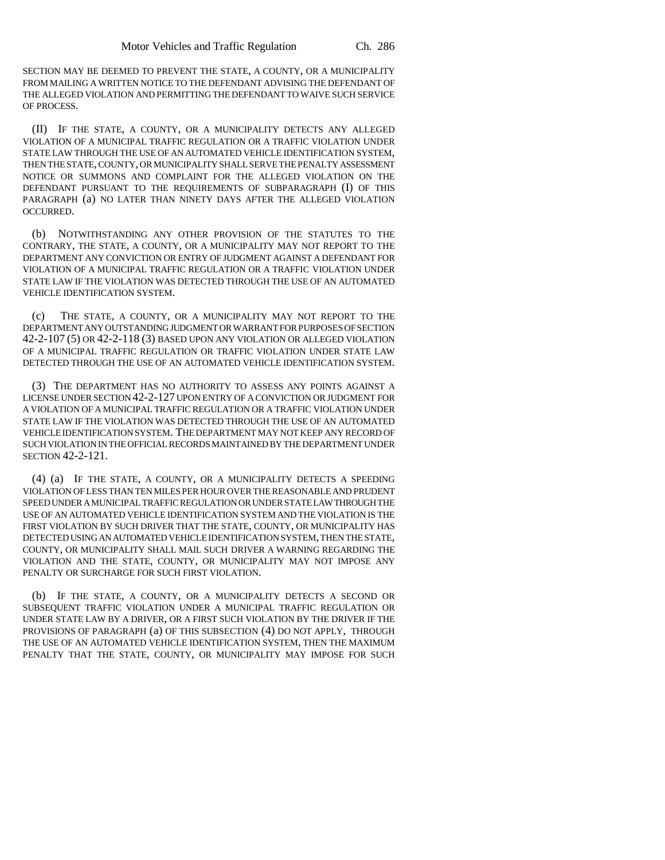SECTION MAY BE DEEMED TO PREVENT THE STATE, A COUNTY, OR A MUNICIPALITY FROM MAILING A WRITTEN NOTICE TO THE DEFENDANT ADVISING THE DEFENDANT OF THE ALLEGED VIOLATION AND PERMITTING THE DEFENDANT TO WAIVE SUCH SERVICE OF PROCESS.

(II) IF THE STATE, A COUNTY, OR A MUNICIPALITY DETECTS ANY ALLEGED VIOLATION OF A MUNICIPAL TRAFFIC REGULATION OR A TRAFFIC VIOLATION UNDER STATE LAW THROUGH THE USE OF AN AUTOMATED VEHICLE IDENTIFICATION SYSTEM, THEN THE STATE, COUNTY, OR MUNICIPALITY SHALL SERVE THE PENALTY ASSESSMENT NOTICE OR SUMMONS AND COMPLAINT FOR THE ALLEGED VIOLATION ON THE DEFENDANT PURSUANT TO THE REQUIREMENTS OF SUBPARAGRAPH (I) OF THIS PARAGRAPH (a) NO LATER THAN NINETY DAYS AFTER THE ALLEGED VIOLATION OCCURRED.

(b) NOTWITHSTANDING ANY OTHER PROVISION OF THE STATUTES TO THE CONTRARY, THE STATE, A COUNTY, OR A MUNICIPALITY MAY NOT REPORT TO THE DEPARTMENT ANY CONVICTION OR ENTRY OF JUDGMENT AGAINST A DEFENDANT FOR VIOLATION OF A MUNICIPAL TRAFFIC REGULATION OR A TRAFFIC VIOLATION UNDER STATE LAW IF THE VIOLATION WAS DETECTED THROUGH THE USE OF AN AUTOMATED VEHICLE IDENTIFICATION SYSTEM.

(c) THE STATE, A COUNTY, OR A MUNICIPALITY MAY NOT REPORT TO THE DEPARTMENT ANY OUTSTANDING JUDGMENT OR WARRANT FOR PURPOSES OF SECTION 42-2-107 (5) OR 42-2-118 (3) BASED UPON ANY VIOLATION OR ALLEGED VIOLATION OF A MUNICIPAL TRAFFIC REGULATION OR TRAFFIC VIOLATION UNDER STATE LAW DETECTED THROUGH THE USE OF AN AUTOMATED VEHICLE IDENTIFICATION SYSTEM.

(3) THE DEPARTMENT HAS NO AUTHORITY TO ASSESS ANY POINTS AGAINST A LICENSE UNDER SECTION 42-2-127 UPON ENTRY OF A CONVICTION OR JUDGMENT FOR A VIOLATION OF A MUNICIPAL TRAFFIC REGULATION OR A TRAFFIC VIOLATION UNDER STATE LAW IF THE VIOLATION WAS DETECTED THROUGH THE USE OF AN AUTOMATED VEHICLE IDENTIFICATION SYSTEM. THE DEPARTMENT MAY NOT KEEP ANY RECORD OF SUCH VIOLATION IN THE OFFICIAL RECORDS MAINTAINED BY THE DEPARTMENT UNDER SECTION 42-2-121.

(4) (a) IF THE STATE, A COUNTY, OR A MUNICIPALITY DETECTS A SPEEDING VIOLATION OF LESS THAN TEN MILES PER HOUR OVER THE REASONABLE AND PRUDENT SPEED UNDER A MUNICIPAL TRAFFIC REGULATION OR UNDER STATE LAW THROUGH THE USE OF AN AUTOMATED VEHICLE IDENTIFICATION SYSTEM AND THE VIOLATION IS THE FIRST VIOLATION BY SUCH DRIVER THAT THE STATE, COUNTY, OR MUNICIPALITY HAS DETECTED USING AN AUTOMATED VEHICLE IDENTIFICATION SYSTEM, THEN THE STATE, COUNTY, OR MUNICIPALITY SHALL MAIL SUCH DRIVER A WARNING REGARDING THE VIOLATION AND THE STATE, COUNTY, OR MUNICIPALITY MAY NOT IMPOSE ANY PENALTY OR SURCHARGE FOR SUCH FIRST VIOLATION.

(b) IF THE STATE, A COUNTY, OR A MUNICIPALITY DETECTS A SECOND OR SUBSEQUENT TRAFFIC VIOLATION UNDER A MUNICIPAL TRAFFIC REGULATION OR UNDER STATE LAW BY A DRIVER, OR A FIRST SUCH VIOLATION BY THE DRIVER IF THE PROVISIONS OF PARAGRAPH (a) OF THIS SUBSECTION (4) DO NOT APPLY, THROUGH THE USE OF AN AUTOMATED VEHICLE IDENTIFICATION SYSTEM, THEN THE MAXIMUM PENALTY THAT THE STATE, COUNTY, OR MUNICIPALITY MAY IMPOSE FOR SUCH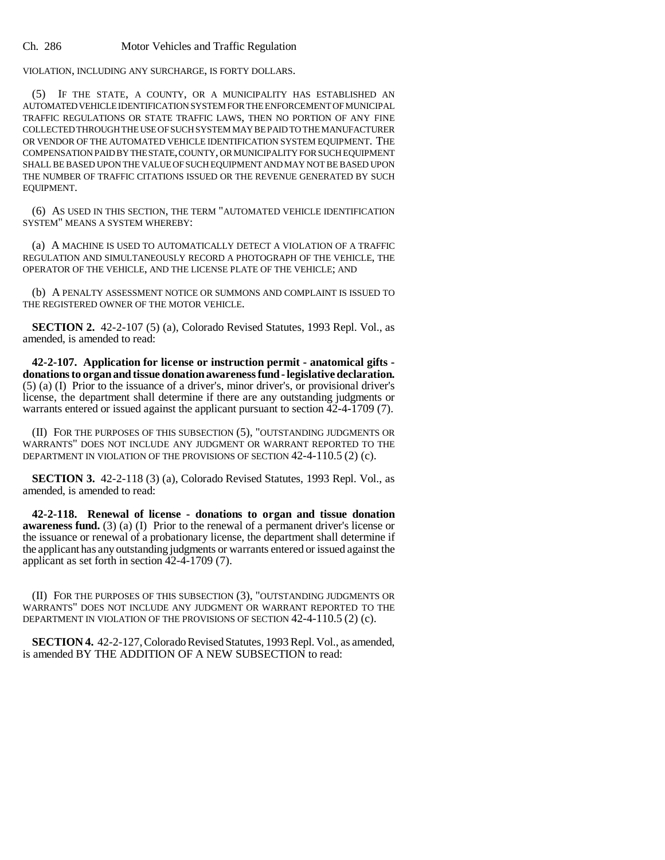Ch. 286 Motor Vehicles and Traffic Regulation

VIOLATION, INCLUDING ANY SURCHARGE, IS FORTY DOLLARS.

(5) IF THE STATE, A COUNTY, OR A MUNICIPALITY HAS ESTABLISHED AN AUTOMATED VEHICLE IDENTIFICATION SYSTEM FOR THE ENFORCEMENT OF MUNICIPAL TRAFFIC REGULATIONS OR STATE TRAFFIC LAWS, THEN NO PORTION OF ANY FINE COLLECTED THROUGH THE USE OF SUCH SYSTEM MAY BE PAID TO THE MANUFACTURER OR VENDOR OF THE AUTOMATED VEHICLE IDENTIFICATION SYSTEM EQUIPMENT. THE COMPENSATION PAID BY THE STATE, COUNTY, OR MUNICIPALITY FOR SUCH EQUIPMENT SHALL BE BASED UPON THE VALUE OF SUCH EQUIPMENT AND MAY NOT BE BASED UPON THE NUMBER OF TRAFFIC CITATIONS ISSUED OR THE REVENUE GENERATED BY SUCH EQUIPMENT.

(6) AS USED IN THIS SECTION, THE TERM "AUTOMATED VEHICLE IDENTIFICATION SYSTEM" MEANS A SYSTEM WHEREBY:

(a) A MACHINE IS USED TO AUTOMATICALLY DETECT A VIOLATION OF A TRAFFIC REGULATION AND SIMULTANEOUSLY RECORD A PHOTOGRAPH OF THE VEHICLE, THE OPERATOR OF THE VEHICLE, AND THE LICENSE PLATE OF THE VEHICLE; AND

(b) A PENALTY ASSESSMENT NOTICE OR SUMMONS AND COMPLAINT IS ISSUED TO THE REGISTERED OWNER OF THE MOTOR VEHICLE.

**SECTION 2.** 42-2-107 (5) (a), Colorado Revised Statutes, 1993 Repl. Vol., as amended, is amended to read:

**42-2-107. Application for license or instruction permit - anatomical gifts donations to organ and tissue donation awareness fund - legislative declaration.** (5) (a) (I) Prior to the issuance of a driver's, minor driver's, or provisional driver's license, the department shall determine if there are any outstanding judgments or warrants entered or issued against the applicant pursuant to section 42-4-1709 (7).

(II) FOR THE PURPOSES OF THIS SUBSECTION (5), "OUTSTANDING JUDGMENTS OR WARRANTS" DOES NOT INCLUDE ANY JUDGMENT OR WARRANT REPORTED TO THE DEPARTMENT IN VIOLATION OF THE PROVISIONS OF SECTION 42-4-110.5 (2) (c).

**SECTION 3.** 42-2-118 (3) (a), Colorado Revised Statutes, 1993 Repl. Vol., as amended, is amended to read:

**42-2-118. Renewal of license - donations to organ and tissue donation awareness fund.** (3) (a) (I) Prior to the renewal of a permanent driver's license or the issuance or renewal of a probationary license, the department shall determine if the applicant has any outstanding judgments or warrants entered or issued against the applicant as set forth in section 42-4-1709 (7).

(II) FOR THE PURPOSES OF THIS SUBSECTION (3), "OUTSTANDING JUDGMENTS OR WARRANTS" DOES NOT INCLUDE ANY JUDGMENT OR WARRANT REPORTED TO THE DEPARTMENT IN VIOLATION OF THE PROVISIONS OF SECTION 42-4-110.5 (2) (c).

**SECTION 4.** 42-2-127, Colorado Revised Statutes, 1993 Repl. Vol., as amended, is amended BY THE ADDITION OF A NEW SUBSECTION to read: